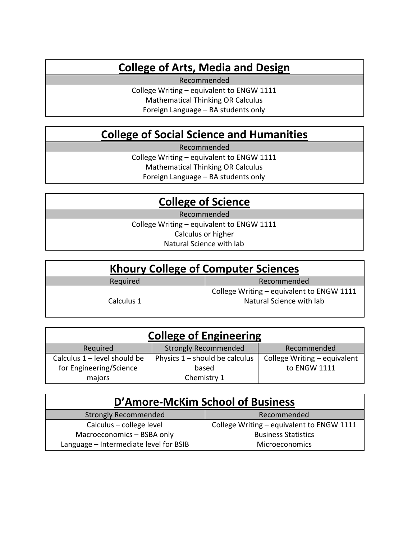## College of Arts, Media and Design

Recommended

College Writing – equivalent to ENGW 1111 Mathematical Thinking OR Calculus Foreign Language – BA students only

## College of Social Science and Humanities

Recommended

College Writing – equivalent to ENGW 1111 Mathematical Thinking OR Calculus

Foreign Language – BA students only

## College of Science

Recommended

College Writing – equivalent to ENGW 1111 Calculus or higher

Natural Science with lab

| <b>Khoury College of Computer Sciences</b> |                                                                       |  |
|--------------------------------------------|-----------------------------------------------------------------------|--|
| Required                                   | Recommended                                                           |  |
| Calculus 1                                 | College Writing - equivalent to ENGW 1111<br>Natural Science with lab |  |

| <b>College of Engineering</b> |                                  |                              |  |
|-------------------------------|----------------------------------|------------------------------|--|
| Required                      | <b>Strongly Recommended</b>      | Recommended                  |  |
| Calculus 1 – level should be  | Physics $1$ – should be calculus | College Writing - equivalent |  |
| for Engineering/Science       | based                            | to ENGW 1111                 |  |
| majors                        | Chemistry 1                      |                              |  |

| D'Amore-McKim School of Business       |                                           |  |  |
|----------------------------------------|-------------------------------------------|--|--|
| <b>Strongly Recommended</b>            | Recommended                               |  |  |
| Calculus – college level               | College Writing - equivalent to ENGW 1111 |  |  |
| Macroeconomics - BSBA only             | <b>Business Statistics</b>                |  |  |
| Language - Intermediate level for BSIB | <b>Microeconomics</b>                     |  |  |